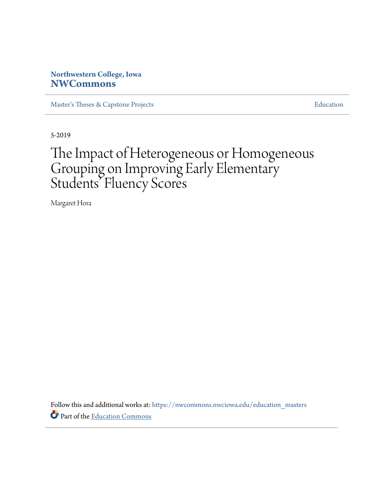## **Northwestern College, Iowa [NWCommons](https://nwcommons.nwciowa.edu?utm_source=nwcommons.nwciowa.edu%2Feducation_masters%2F127&utm_medium=PDF&utm_campaign=PDFCoverPages)**

[Master's Theses & Capstone Projects](https://nwcommons.nwciowa.edu/education_masters?utm_source=nwcommons.nwciowa.edu%2Feducation_masters%2F127&utm_medium=PDF&utm_campaign=PDFCoverPages) **[Education](https://nwcommons.nwciowa.edu/education?utm_source=nwcommons.nwciowa.edu%2Feducation_masters%2F127&utm_medium=PDF&utm_campaign=PDFCoverPages)** 

5-2019

# The Impact of Heterogeneous or Homogeneous Grouping on Improving Early Elementary Students' Fluency Scores

Margaret Hora

Follow this and additional works at: [https://nwcommons.nwciowa.edu/education\\_masters](https://nwcommons.nwciowa.edu/education_masters?utm_source=nwcommons.nwciowa.edu%2Feducation_masters%2F127&utm_medium=PDF&utm_campaign=PDFCoverPages) Part of the [Education Commons](http://network.bepress.com/hgg/discipline/784?utm_source=nwcommons.nwciowa.edu%2Feducation_masters%2F127&utm_medium=PDF&utm_campaign=PDFCoverPages)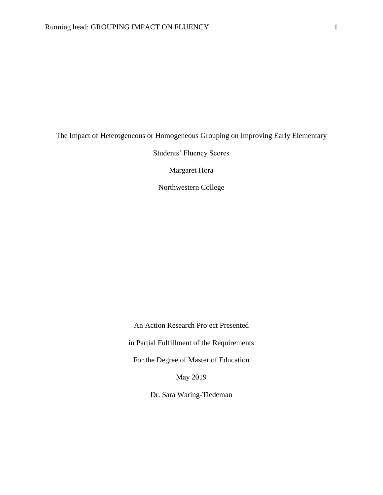### The Impact of Heterogeneous or Homogeneous Grouping on Improving Early Elementary

Students' Fluency Scores

Margaret Hora

Northwestern College

An Action Research Project Presented

in Partial Fulfillment of the Requirements

For the Degree of Master of Education

May 2019

Dr. Sara Waring-Tiedeman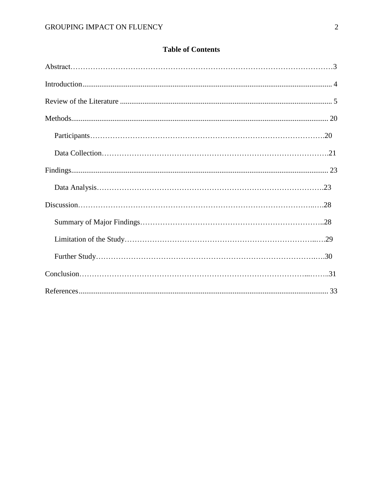## **Table of Contents**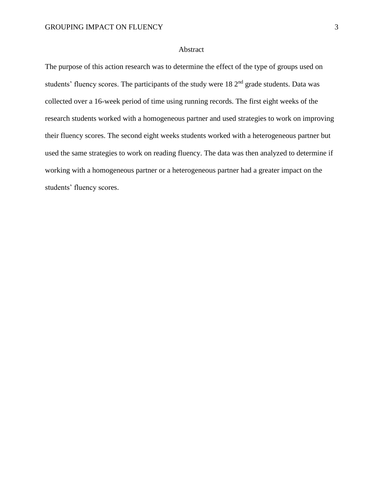#### Abstract

The purpose of this action research was to determine the effect of the type of groups used on students' fluency scores. The participants of the study were 18 2<sup>nd</sup> grade students. Data was collected over a 16-week period of time using running records. The first eight weeks of the research students worked with a homogeneous partner and used strategies to work on improving their fluency scores. The second eight weeks students worked with a heterogeneous partner but used the same strategies to work on reading fluency. The data was then analyzed to determine if working with a homogeneous partner or a heterogeneous partner had a greater impact on the students' fluency scores.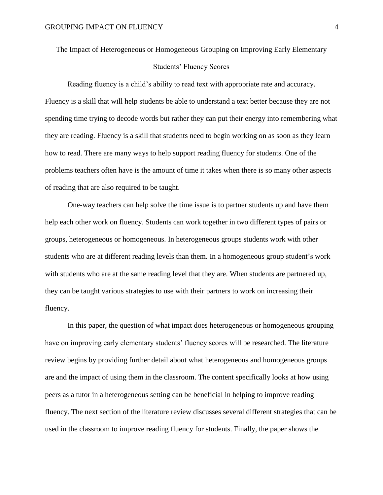## The Impact of Heterogeneous or Homogeneous Grouping on Improving Early Elementary

#### Students' Fluency Scores

Reading fluency is a child's ability to read text with appropriate rate and accuracy. Fluency is a skill that will help students be able to understand a text better because they are not spending time trying to decode words but rather they can put their energy into remembering what they are reading. Fluency is a skill that students need to begin working on as soon as they learn how to read. There are many ways to help support reading fluency for students. One of the problems teachers often have is the amount of time it takes when there is so many other aspects of reading that are also required to be taught.

One-way teachers can help solve the time issue is to partner students up and have them help each other work on fluency. Students can work together in two different types of pairs or groups, heterogeneous or homogeneous. In heterogeneous groups students work with other students who are at different reading levels than them. In a homogeneous group student's work with students who are at the same reading level that they are. When students are partnered up, they can be taught various strategies to use with their partners to work on increasing their fluency.

In this paper, the question of what impact does heterogeneous or homogeneous grouping have on improving early elementary students' fluency scores will be researched. The literature review begins by providing further detail about what heterogeneous and homogeneous groups are and the impact of using them in the classroom. The content specifically looks at how using peers as a tutor in a heterogeneous setting can be beneficial in helping to improve reading fluency. The next section of the literature review discusses several different strategies that can be used in the classroom to improve reading fluency for students. Finally, the paper shows the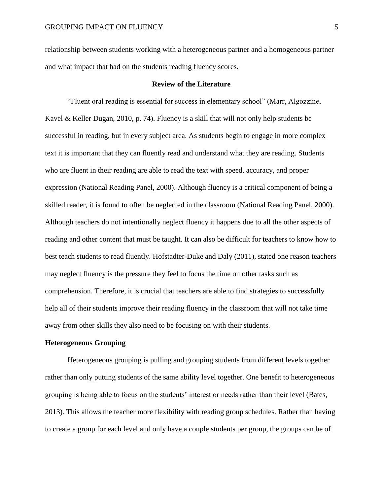relationship between students working with a heterogeneous partner and a homogeneous partner and what impact that had on the students reading fluency scores.

#### **Review of the Literature**

<span id="page-5-0"></span>"Fluent oral reading is essential for success in elementary school" (Marr, Algozzine, Kavel & Keller Dugan, 2010, p. 74). Fluency is a skill that will not only help students be successful in reading, but in every subject area. As students begin to engage in more complex text it is important that they can fluently read and understand what they are reading. Students who are fluent in their reading are able to read the text with speed, accuracy, and proper expression (National Reading Panel, 2000). Although fluency is a critical component of being a skilled reader, it is found to often be neglected in the classroom (National Reading Panel, 2000). Although teachers do not intentionally neglect fluency it happens due to all the other aspects of reading and other content that must be taught. It can also be difficult for teachers to know how to best teach students to read fluently. Hofstadter-Duke and Daly (2011), stated one reason teachers may neglect fluency is the pressure they feel to focus the time on other tasks such as comprehension. Therefore, it is crucial that teachers are able to find strategies to successfully help all of their students improve their reading fluency in the classroom that will not take time away from other skills they also need to be focusing on with their students.

#### **Heterogeneous Grouping**

Heterogeneous grouping is pulling and grouping students from different levels together rather than only putting students of the same ability level together. One benefit to heterogeneous grouping is being able to focus on the students' interest or needs rather than their level (Bates, 2013). This allows the teacher more flexibility with reading group schedules. Rather than having to create a group for each level and only have a couple students per group, the groups can be of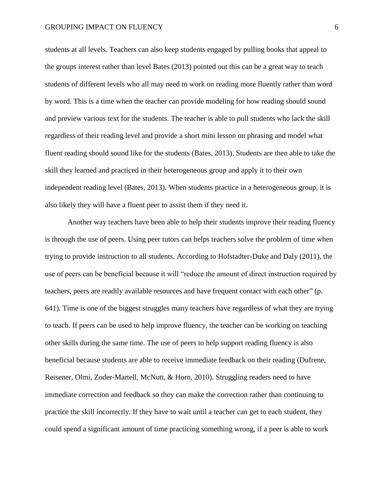students at all levels. Teachers can also keep students engaged by pulling books that appeal to the groups interest rather than level Bates (2013) pointed out this can be a great way to teach students of different levels who all may need to work on reading more fluently rather than word by word. This is a time when the teacher can provide modeling for how reading should sound and preview various text for the students. The teacher is able to pull students who lack the skill regardless of their reading level and provide a short mini lesson on phrasing and model what fluent reading should sound like for the students (Bates, 2013). Students are then able to take the skill they learned and practiced in their heterogeneous group and apply it to their own independent reading level (Bates, 2013). When students practice in a heterogeneous group, it is also likely they will have a fluent peer to assist them if they need it.

Another way teachers have been able to help their students improve their reading fluency is through the use of peers. Using peer tutors can helps teachers solve the problem of time when trying to provide instruction to all students. According to Hofstadter-Duke and Daly (2011), the use of peers can be beneficial because it will "reduce the amount of direct instruction required by teachers, peers are readily available resources and have frequent contact with each other" (p. 641). Time is one of the biggest struggles many teachers have regardless of what they are trying to teach. If peers can be used to help improve fluency, the teacher can be working on teaching other skills during the same time. The use of peers to help support reading fluency is also beneficial because students are able to receive immediate feedback on their reading (Dufrene, Reisener, Olmi, Zoder-Martell, McNutt, & Horn, 2010). Struggling readers need to have immediate correction and feedback so they can make the correction rather than continuing to practice the skill incorrectly. If they have to wait until a teacher can get to each student, they could spend a significant amount of time practicing something wrong, if a peer is able to work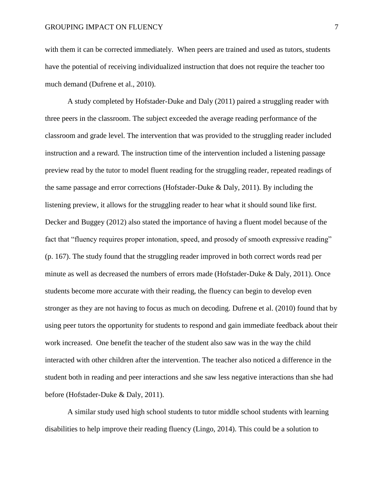with them it can be corrected immediately. When peers are trained and used as tutors, students have the potential of receiving individualized instruction that does not require the teacher too much demand (Dufrene et al., 2010).

A study completed by Hofstader-Duke and Daly (2011) paired a struggling reader with three peers in the classroom. The subject exceeded the average reading performance of the classroom and grade level. The intervention that was provided to the struggling reader included instruction and a reward. The instruction time of the intervention included a listening passage preview read by the tutor to model fluent reading for the struggling reader, repeated readings of the same passage and error corrections (Hofstader-Duke & Daly, 2011). By including the listening preview, it allows for the struggling reader to hear what it should sound like first. Decker and Buggey (2012) also stated the importance of having a fluent model because of the fact that "fluency requires proper intonation, speed, and prosody of smooth expressive reading" (p. 167). The study found that the struggling reader improved in both correct words read per minute as well as decreased the numbers of errors made (Hofstader-Duke & Daly, 2011). Once students become more accurate with their reading, the fluency can begin to develop even stronger as they are not having to focus as much on decoding. Dufrene et al. (2010) found that by using peer tutors the opportunity for students to respond and gain immediate feedback about their work increased. One benefit the teacher of the student also saw was in the way the child interacted with other children after the intervention. The teacher also noticed a difference in the student both in reading and peer interactions and she saw less negative interactions than she had before (Hofstader-Duke & Daly, 2011).

A similar study used high school students to tutor middle school students with learning disabilities to help improve their reading fluency (Lingo, 2014). This could be a solution to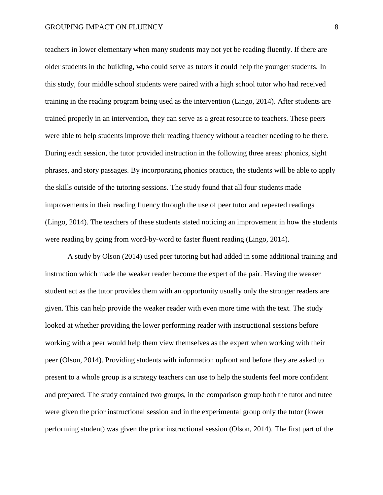teachers in lower elementary when many students may not yet be reading fluently. If there are older students in the building, who could serve as tutors it could help the younger students. In this study, four middle school students were paired with a high school tutor who had received training in the reading program being used as the intervention (Lingo, 2014). After students are trained properly in an intervention, they can serve as a great resource to teachers. These peers were able to help students improve their reading fluency without a teacher needing to be there. During each session, the tutor provided instruction in the following three areas: phonics, sight phrases, and story passages. By incorporating phonics practice, the students will be able to apply the skills outside of the tutoring sessions. The study found that all four students made improvements in their reading fluency through the use of peer tutor and repeated readings (Lingo, 2014). The teachers of these students stated noticing an improvement in how the students were reading by going from word-by-word to faster fluent reading (Lingo, 2014).

A study by Olson (2014) used peer tutoring but had added in some additional training and instruction which made the weaker reader become the expert of the pair. Having the weaker student act as the tutor provides them with an opportunity usually only the stronger readers are given. This can help provide the weaker reader with even more time with the text. The study looked at whether providing the lower performing reader with instructional sessions before working with a peer would help them view themselves as the expert when working with their peer (Olson, 2014). Providing students with information upfront and before they are asked to present to a whole group is a strategy teachers can use to help the students feel more confident and prepared. The study contained two groups, in the comparison group both the tutor and tutee were given the prior instructional session and in the experimental group only the tutor (lower performing student) was given the prior instructional session (Olson, 2014). The first part of the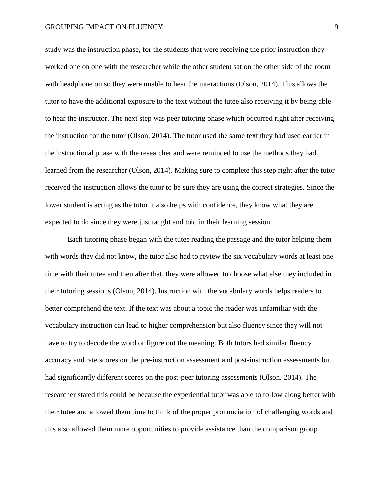study was the instruction phase, for the students that were receiving the prior instruction they worked one on one with the researcher while the other student sat on the other side of the room with headphone on so they were unable to hear the interactions (Olson, 2014). This allows the tutor to have the additional exposure to the text without the tutee also receiving it by being able to hear the instructor. The next step was peer tutoring phase which occurred right after receiving the instruction for the tutor (Olson, 2014). The tutor used the same text they had used earlier in the instructional phase with the researcher and were reminded to use the methods they had learned from the researcher (Olson, 2014). Making sure to complete this step right after the tutor received the instruction allows the tutor to be sure they are using the correct strategies. Since the lower student is acting as the tutor it also helps with confidence, they know what they are expected to do since they were just taught and told in their learning session.

Each tutoring phase began with the tutee reading the passage and the tutor helping them with words they did not know, the tutor also had to review the six vocabulary words at least one time with their tutee and then after that, they were allowed to choose what else they included in their tutoring sessions (Olson, 2014). Instruction with the vocabulary words helps readers to better comprehend the text. If the text was about a topic the reader was unfamiliar with the vocabulary instruction can lead to higher comprehension but also fluency since they will not have to try to decode the word or figure out the meaning. Both tutors had similar fluency accuracy and rate scores on the pre-instruction assessment and post-instruction assessments but had significantly different scores on the post-peer tutoring assessments (Olson, 2014). The researcher stated this could be because the experiential tutor was able to follow along better with their tutee and allowed them time to think of the proper pronunciation of challenging words and this also allowed them more opportunities to provide assistance than the comparison group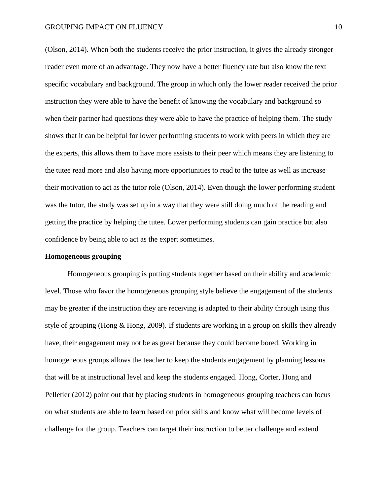(Olson, 2014). When both the students receive the prior instruction, it gives the already stronger reader even more of an advantage. They now have a better fluency rate but also know the text specific vocabulary and background. The group in which only the lower reader received the prior instruction they were able to have the benefit of knowing the vocabulary and background so when their partner had questions they were able to have the practice of helping them. The study shows that it can be helpful for lower performing students to work with peers in which they are the experts, this allows them to have more assists to their peer which means they are listening to the tutee read more and also having more opportunities to read to the tutee as well as increase their motivation to act as the tutor role (Olson, 2014). Even though the lower performing student was the tutor, the study was set up in a way that they were still doing much of the reading and getting the practice by helping the tutee. Lower performing students can gain practice but also confidence by being able to act as the expert sometimes.

#### **Homogeneous grouping**

Homogeneous grouping is putting students together based on their ability and academic level. Those who favor the homogeneous grouping style believe the engagement of the students may be greater if the instruction they are receiving is adapted to their ability through using this style of grouping (Hong & Hong, 2009). If students are working in a group on skills they already have, their engagement may not be as great because they could become bored. Working in homogeneous groups allows the teacher to keep the students engagement by planning lessons that will be at instructional level and keep the students engaged. Hong, Corter, Hong and Pelletier (2012) point out that by placing students in homogeneous grouping teachers can focus on what students are able to learn based on prior skills and know what will become levels of challenge for the group. Teachers can target their instruction to better challenge and extend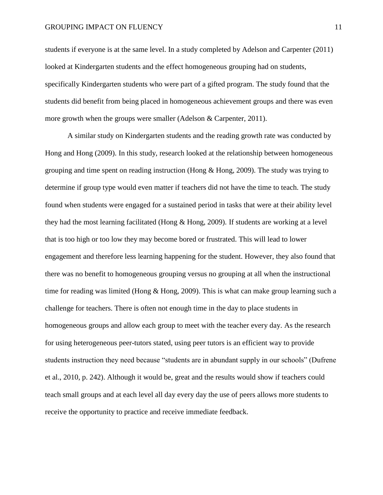students if everyone is at the same level. In a study completed by Adelson and Carpenter (2011) looked at Kindergarten students and the effect homogeneous grouping had on students, specifically Kindergarten students who were part of a gifted program. The study found that the students did benefit from being placed in homogeneous achievement groups and there was even more growth when the groups were smaller (Adelson & Carpenter, 2011).

A similar study on Kindergarten students and the reading growth rate was conducted by Hong and Hong (2009). In this study, research looked at the relationship between homogeneous grouping and time spent on reading instruction (Hong  $\&$  Hong, 2009). The study was trying to determine if group type would even matter if teachers did not have the time to teach. The study found when students were engaged for a sustained period in tasks that were at their ability level they had the most learning facilitated (Hong & Hong, 2009). If students are working at a level that is too high or too low they may become bored or frustrated. This will lead to lower engagement and therefore less learning happening for the student. However, they also found that there was no benefit to homogeneous grouping versus no grouping at all when the instructional time for reading was limited (Hong & Hong, 2009). This is what can make group learning such a challenge for teachers. There is often not enough time in the day to place students in homogeneous groups and allow each group to meet with the teacher every day. As the research for using heterogeneous peer-tutors stated, using peer tutors is an efficient way to provide students instruction they need because "students are in abundant supply in our schools" (Dufrene et al., 2010, p. 242). Although it would be, great and the results would show if teachers could teach small groups and at each level all day every day the use of peers allows more students to receive the opportunity to practice and receive immediate feedback.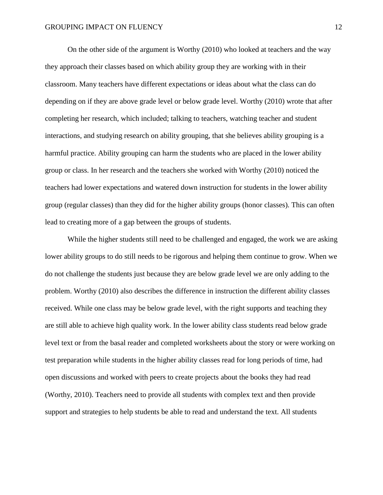On the other side of the argument is Worthy (2010) who looked at teachers and the way they approach their classes based on which ability group they are working with in their classroom. Many teachers have different expectations or ideas about what the class can do depending on if they are above grade level or below grade level. Worthy (2010) wrote that after completing her research, which included; talking to teachers, watching teacher and student interactions, and studying research on ability grouping, that she believes ability grouping is a harmful practice. Ability grouping can harm the students who are placed in the lower ability group or class. In her research and the teachers she worked with Worthy (2010) noticed the teachers had lower expectations and watered down instruction for students in the lower ability group (regular classes) than they did for the higher ability groups (honor classes). This can often lead to creating more of a gap between the groups of students.

While the higher students still need to be challenged and engaged, the work we are asking lower ability groups to do still needs to be rigorous and helping them continue to grow. When we do not challenge the students just because they are below grade level we are only adding to the problem. Worthy (2010) also describes the difference in instruction the different ability classes received. While one class may be below grade level, with the right supports and teaching they are still able to achieve high quality work. In the lower ability class students read below grade level text or from the basal reader and completed worksheets about the story or were working on test preparation while students in the higher ability classes read for long periods of time, had open discussions and worked with peers to create projects about the books they had read (Worthy, 2010). Teachers need to provide all students with complex text and then provide support and strategies to help students be able to read and understand the text. All students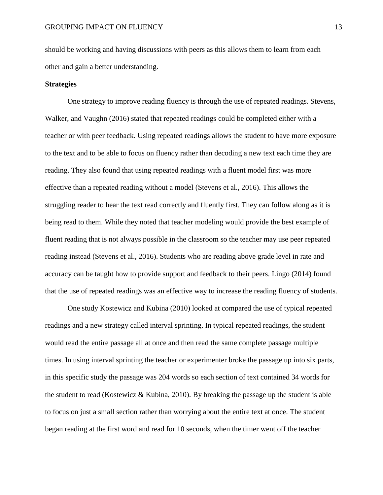should be working and having discussions with peers as this allows them to learn from each other and gain a better understanding.

#### **Strategies**

One strategy to improve reading fluency is through the use of repeated readings. Stevens, Walker, and Vaughn (2016) stated that repeated readings could be completed either with a teacher or with peer feedback. Using repeated readings allows the student to have more exposure to the text and to be able to focus on fluency rather than decoding a new text each time they are reading. They also found that using repeated readings with a fluent model first was more effective than a repeated reading without a model (Stevens et al., 2016). This allows the struggling reader to hear the text read correctly and fluently first. They can follow along as it is being read to them. While they noted that teacher modeling would provide the best example of fluent reading that is not always possible in the classroom so the teacher may use peer repeated reading instead (Stevens et al., 2016). Students who are reading above grade level in rate and accuracy can be taught how to provide support and feedback to their peers. Lingo (2014) found that the use of repeated readings was an effective way to increase the reading fluency of students.

One study Kostewicz and Kubina (2010) looked at compared the use of typical repeated readings and a new strategy called interval sprinting. In typical repeated readings, the student would read the entire passage all at once and then read the same complete passage multiple times. In using interval sprinting the teacher or experimenter broke the passage up into six parts, in this specific study the passage was 204 words so each section of text contained 34 words for the student to read (Kostewicz & Kubina, 2010). By breaking the passage up the student is able to focus on just a small section rather than worrying about the entire text at once. The student began reading at the first word and read for 10 seconds, when the timer went off the teacher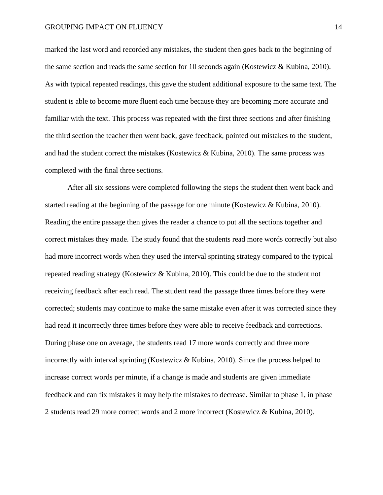marked the last word and recorded any mistakes, the student then goes back to the beginning of the same section and reads the same section for 10 seconds again (Kostewicz & Kubina, 2010). As with typical repeated readings, this gave the student additional exposure to the same text. The student is able to become more fluent each time because they are becoming more accurate and familiar with the text. This process was repeated with the first three sections and after finishing the third section the teacher then went back, gave feedback, pointed out mistakes to the student, and had the student correct the mistakes (Kostewicz & Kubina, 2010). The same process was completed with the final three sections.

After all six sessions were completed following the steps the student then went back and started reading at the beginning of the passage for one minute (Kostewicz & Kubina, 2010). Reading the entire passage then gives the reader a chance to put all the sections together and correct mistakes they made. The study found that the students read more words correctly but also had more incorrect words when they used the interval sprinting strategy compared to the typical repeated reading strategy (Kostewicz & Kubina, 2010). This could be due to the student not receiving feedback after each read. The student read the passage three times before they were corrected; students may continue to make the same mistake even after it was corrected since they had read it incorrectly three times before they were able to receive feedback and corrections. During phase one on average, the students read 17 more words correctly and three more incorrectly with interval sprinting (Kostewicz & Kubina, 2010). Since the process helped to increase correct words per minute, if a change is made and students are given immediate feedback and can fix mistakes it may help the mistakes to decrease. Similar to phase 1, in phase 2 students read 29 more correct words and 2 more incorrect (Kostewicz & Kubina, 2010).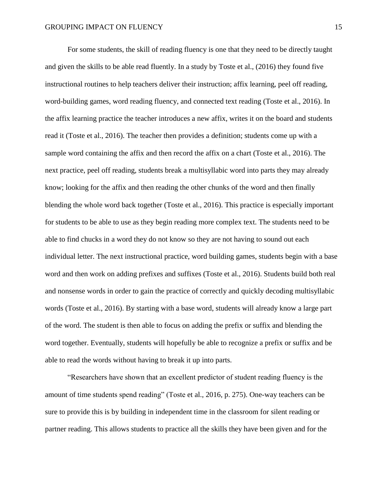For some students, the skill of reading fluency is one that they need to be directly taught and given the skills to be able read fluently. In a study by Toste et al., (2016) they found five instructional routines to help teachers deliver their instruction; affix learning, peel off reading, word-building games, word reading fluency, and connected text reading (Toste et al., 2016). In the affix learning practice the teacher introduces a new affix, writes it on the board and students read it (Toste et al., 2016). The teacher then provides a definition; students come up with a sample word containing the affix and then record the affix on a chart (Toste et al., 2016). The next practice, peel off reading, students break a multisyllabic word into parts they may already know; looking for the affix and then reading the other chunks of the word and then finally blending the whole word back together (Toste et al., 2016). This practice is especially important for students to be able to use as they begin reading more complex text. The students need to be able to find chucks in a word they do not know so they are not having to sound out each individual letter. The next instructional practice, word building games, students begin with a base word and then work on adding prefixes and suffixes (Toste et al., 2016). Students build both real and nonsense words in order to gain the practice of correctly and quickly decoding multisyllabic words (Toste et al., 2016). By starting with a base word, students will already know a large part of the word. The student is then able to focus on adding the prefix or suffix and blending the word together. Eventually, students will hopefully be able to recognize a prefix or suffix and be able to read the words without having to break it up into parts.

"Researchers have shown that an excellent predictor of student reading fluency is the amount of time students spend reading" (Toste et al., 2016, p. 275). One-way teachers can be sure to provide this is by building in independent time in the classroom for silent reading or partner reading. This allows students to practice all the skills they have been given and for the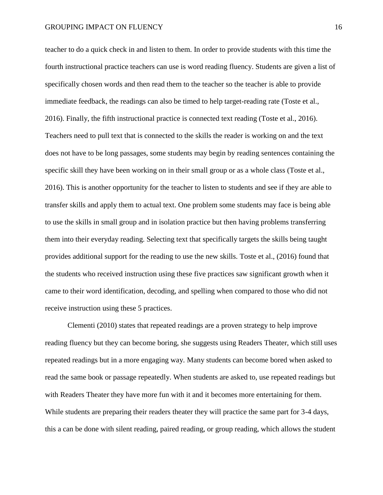teacher to do a quick check in and listen to them. In order to provide students with this time the fourth instructional practice teachers can use is word reading fluency. Students are given a list of specifically chosen words and then read them to the teacher so the teacher is able to provide immediate feedback, the readings can also be timed to help target-reading rate (Toste et al., 2016). Finally, the fifth instructional practice is connected text reading (Toste et al., 2016). Teachers need to pull text that is connected to the skills the reader is working on and the text does not have to be long passages, some students may begin by reading sentences containing the specific skill they have been working on in their small group or as a whole class (Toste et al., 2016). This is another opportunity for the teacher to listen to students and see if they are able to transfer skills and apply them to actual text. One problem some students may face is being able to use the skills in small group and in isolation practice but then having problems transferring them into their everyday reading. Selecting text that specifically targets the skills being taught provides additional support for the reading to use the new skills. Toste et al., (2016) found that the students who received instruction using these five practices saw significant growth when it came to their word identification, decoding, and spelling when compared to those who did not receive instruction using these 5 practices.

Clementi (2010) states that repeated readings are a proven strategy to help improve reading fluency but they can become boring, she suggests using Readers Theater, which still uses repeated readings but in a more engaging way. Many students can become bored when asked to read the same book or passage repeatedly. When students are asked to, use repeated readings but with Readers Theater they have more fun with it and it becomes more entertaining for them. While students are preparing their readers theater they will practice the same part for 3-4 days, this a can be done with silent reading, paired reading, or group reading, which allows the student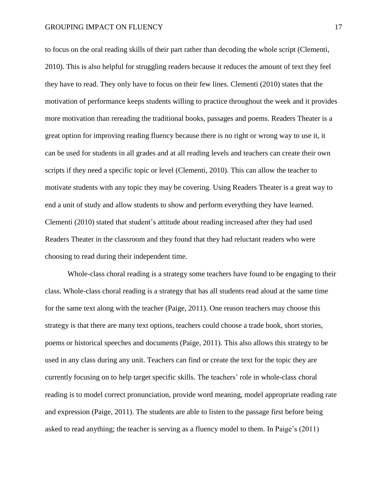to focus on the oral reading skills of their part rather than decoding the whole script (Clementi, 2010). This is also helpful for struggling readers because it reduces the amount of text they feel they have to read. They only have to focus on their few lines. Clementi (2010) states that the motivation of performance keeps students willing to practice throughout the week and it provides more motivation than rereading the traditional books, passages and poems. Readers Theater is a great option for improving reading fluency because there is no right or wrong way to use it, it can be used for students in all grades and at all reading levels and teachers can create their own scripts if they need a specific topic or level (Clementi, 2010). This can allow the teacher to motivate students with any topic they may be covering. Using Readers Theater is a great way to end a unit of study and allow students to show and perform everything they have learned. Clementi (2010) stated that student's attitude about reading increased after they had used Readers Theater in the classroom and they found that they had reluctant readers who were choosing to read during their independent time.

Whole-class choral reading is a strategy some teachers have found to be engaging to their class. Whole-class choral reading is a strategy that has all students read aloud at the same time for the same text along with the teacher (Paige, 2011). One reason teachers may choose this strategy is that there are many text options, teachers could choose a trade book, short stories, poems or historical speeches and documents (Paige, 2011). This also allows this strategy to be used in any class during any unit. Teachers can find or create the text for the topic they are currently focusing on to help target specific skills. The teachers' role in whole-class choral reading is to model correct pronunciation, provide word meaning, model appropriate reading rate and expression (Paige, 2011). The students are able to listen to the passage first before being asked to read anything; the teacher is serving as a fluency model to them. In Paige's (2011)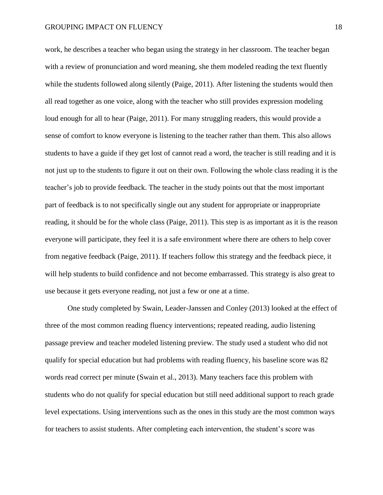work, he describes a teacher who began using the strategy in her classroom. The teacher began with a review of pronunciation and word meaning, she them modeled reading the text fluently while the students followed along silently (Paige, 2011). After listening the students would then all read together as one voice, along with the teacher who still provides expression modeling loud enough for all to hear (Paige, 2011). For many struggling readers, this would provide a sense of comfort to know everyone is listening to the teacher rather than them. This also allows students to have a guide if they get lost of cannot read a word, the teacher is still reading and it is not just up to the students to figure it out on their own. Following the whole class reading it is the teacher's job to provide feedback. The teacher in the study points out that the most important part of feedback is to not specifically single out any student for appropriate or inappropriate reading, it should be for the whole class (Paige, 2011). This step is as important as it is the reason everyone will participate, they feel it is a safe environment where there are others to help cover from negative feedback (Paige, 2011). If teachers follow this strategy and the feedback piece, it will help students to build confidence and not become embarrassed. This strategy is also great to use because it gets everyone reading, not just a few or one at a time.

One study completed by Swain, Leader-Janssen and Conley (2013) looked at the effect of three of the most common reading fluency interventions; repeated reading, audio listening passage preview and teacher modeled listening preview. The study used a student who did not qualify for special education but had problems with reading fluency, his baseline score was 82 words read correct per minute (Swain et al., 2013). Many teachers face this problem with students who do not qualify for special education but still need additional support to reach grade level expectations. Using interventions such as the ones in this study are the most common ways for teachers to assist students. After completing each intervention, the student's score was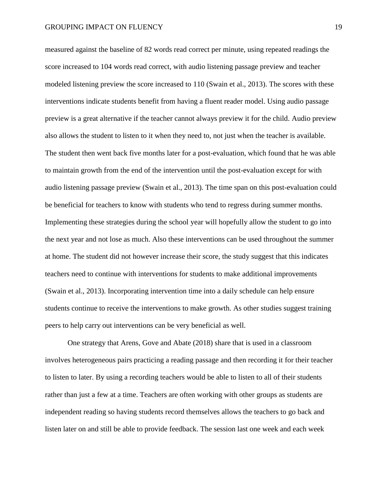measured against the baseline of 82 words read correct per minute, using repeated readings the score increased to 104 words read correct, with audio listening passage preview and teacher modeled listening preview the score increased to 110 (Swain et al., 2013). The scores with these interventions indicate students benefit from having a fluent reader model. Using audio passage preview is a great alternative if the teacher cannot always preview it for the child. Audio preview also allows the student to listen to it when they need to, not just when the teacher is available. The student then went back five months later for a post-evaluation, which found that he was able to maintain growth from the end of the intervention until the post-evaluation except for with audio listening passage preview (Swain et al., 2013). The time span on this post-evaluation could be beneficial for teachers to know with students who tend to regress during summer months. Implementing these strategies during the school year will hopefully allow the student to go into the next year and not lose as much. Also these interventions can be used throughout the summer at home. The student did not however increase their score, the study suggest that this indicates teachers need to continue with interventions for students to make additional improvements (Swain et al., 2013). Incorporating intervention time into a daily schedule can help ensure students continue to receive the interventions to make growth. As other studies suggest training peers to help carry out interventions can be very beneficial as well.

One strategy that Arens, Gove and Abate (2018) share that is used in a classroom involves heterogeneous pairs practicing a reading passage and then recording it for their teacher to listen to later. By using a recording teachers would be able to listen to all of their students rather than just a few at a time. Teachers are often working with other groups as students are independent reading so having students record themselves allows the teachers to go back and listen later on and still be able to provide feedback. The session last one week and each week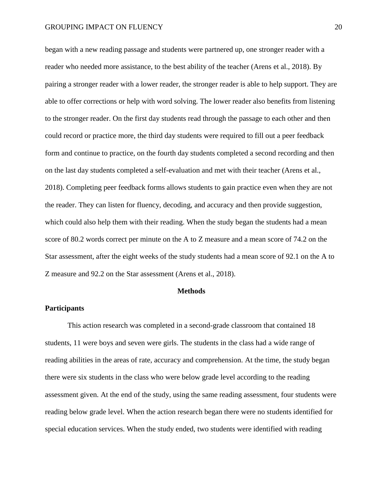began with a new reading passage and students were partnered up, one stronger reader with a reader who needed more assistance, to the best ability of the teacher (Arens et al., 2018). By pairing a stronger reader with a lower reader, the stronger reader is able to help support. They are able to offer corrections or help with word solving. The lower reader also benefits from listening to the stronger reader. On the first day students read through the passage to each other and then could record or practice more, the third day students were required to fill out a peer feedback form and continue to practice, on the fourth day students completed a second recording and then on the last day students completed a self-evaluation and met with their teacher (Arens et al., 2018). Completing peer feedback forms allows students to gain practice even when they are not the reader. They can listen for fluency, decoding, and accuracy and then provide suggestion, which could also help them with their reading. When the study began the students had a mean score of 80.2 words correct per minute on the A to Z measure and a mean score of 74.2 on the Star assessment, after the eight weeks of the study students had a mean score of 92.1 on the A to Z measure and 92.2 on the Star assessment (Arens et al., 2018).

#### **Methods**

#### **Participants**

This action research was completed in a second-grade classroom that contained 18 students, 11 were boys and seven were girls. The students in the class had a wide range of reading abilities in the areas of rate, accuracy and comprehension. At the time, the study began there were six students in the class who were below grade level according to the reading assessment given. At the end of the study, using the same reading assessment, four students were reading below grade level. When the action research began there were no students identified for special education services. When the study ended, two students were identified with reading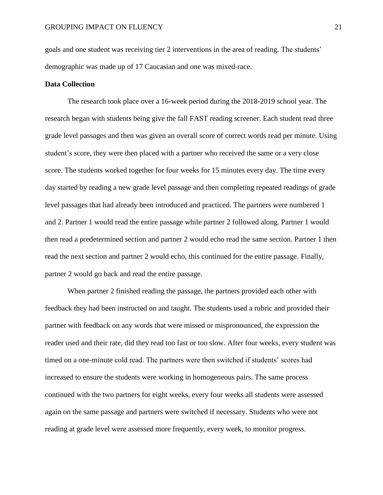goals and one student was receiving tier 2 interventions in the area of reading. The students' demographic was made up of 17 Caucasian and one was mixed-race.

#### **Data Collection**

The research took place over a 16-week period during the 2018-2019 school year. The research began with students being give the fall FAST reading screener. Each student read three grade level passages and then was given an overall score of correct words read per minute. Using student's score, they were then placed with a partner who received the same or a very close score. The students worked together for four weeks for 15 minutes every day. The time every day started by reading a new grade level passage and then completing repeated readings of grade level passages that had already been introduced and practiced. The partners were numbered 1 and 2. Partner 1 would read the entire passage while partner 2 followed along. Partner 1 would then read a predetermined section and partner 2 would echo read the same section. Partner 1 then read the next section and partner 2 would echo, this continued for the entire passage. Finally, partner 2 would go back and read the entire passage.

When partner 2 finished reading the passage, the partners provided each other with feedback they had been instructed on and taught. The students used a rubric and provided their partner with feedback on any words that were missed or mispronounced, the expression the reader used and their rate, did they read too fast or too slow. After four weeks, every student was timed on a one-minute cold read. The partners were then switched if students' scores had increased to ensure the students were working in homogeneous pairs. The same process continued with the two partners for eight weeks, every four weeks all students were assessed again on the same passage and partners were switched if necessary. Students who were not reading at grade level were assessed more frequently, every week, to monitor progress.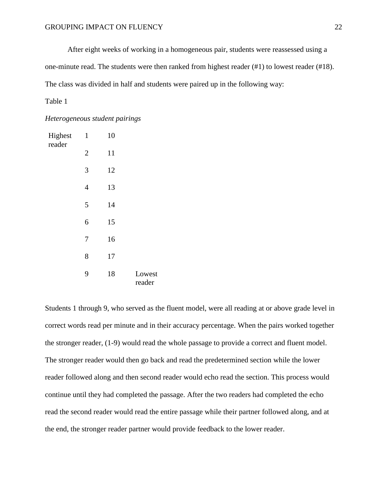After eight weeks of working in a homogeneous pair, students were reassessed using a one-minute read. The students were then ranked from highest reader (#1) to lowest reader (#18). The class was divided in half and students were paired up in the following way:

Table 1

#### *Heterogeneous student pairings*

| $\mathbf{1}$   | 10 |                  |
|----------------|----|------------------|
| $\overline{2}$ | 11 |                  |
| 3              | 12 |                  |
| $\overline{4}$ | 13 |                  |
| 5              | 14 |                  |
| 6              | 15 |                  |
| $\overline{7}$ | 16 |                  |
| 8              | 17 |                  |
| 9              | 18 | Lowest<br>reader |
|                |    |                  |

Students 1 through 9, who served as the fluent model, were all reading at or above grade level in correct words read per minute and in their accuracy percentage. When the pairs worked together the stronger reader, (1-9) would read the whole passage to provide a correct and fluent model. The stronger reader would then go back and read the predetermined section while the lower reader followed along and then second reader would echo read the section. This process would continue until they had completed the passage. After the two readers had completed the echo read the second reader would read the entire passage while their partner followed along, and at the end, the stronger reader partner would provide feedback to the lower reader.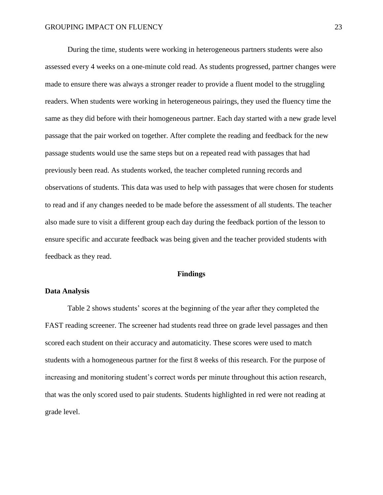During the time, students were working in heterogeneous partners students were also assessed every 4 weeks on a one-minute cold read. As students progressed, partner changes were made to ensure there was always a stronger reader to provide a fluent model to the struggling readers. When students were working in heterogeneous pairings, they used the fluency time the same as they did before with their homogeneous partner. Each day started with a new grade level passage that the pair worked on together. After complete the reading and feedback for the new passage students would use the same steps but on a repeated read with passages that had previously been read. As students worked, the teacher completed running records and observations of students. This data was used to help with passages that were chosen for students to read and if any changes needed to be made before the assessment of all students. The teacher also made sure to visit a different group each day during the feedback portion of the lesson to ensure specific and accurate feedback was being given and the teacher provided students with feedback as they read.

#### **Findings**

#### **Data Analysis**

Table 2 shows students' scores at the beginning of the year after they completed the FAST reading screener. The screener had students read three on grade level passages and then scored each student on their accuracy and automaticity. These scores were used to match students with a homogeneous partner for the first 8 weeks of this research. For the purpose of increasing and monitoring student's correct words per minute throughout this action research, that was the only scored used to pair students. Students highlighted in red were not reading at grade level.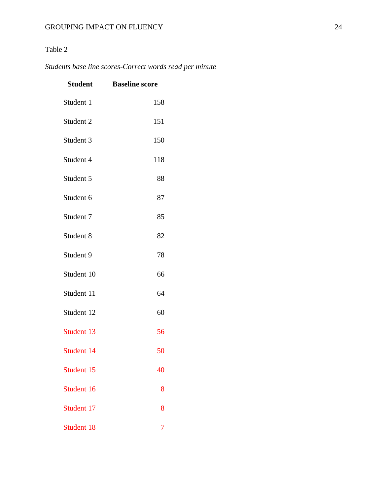## Table 2

## *Students base line scores-Correct words read per minute*

| <b>Student</b>       | <b>Baseline score</b> |
|----------------------|-----------------------|
| Student 1            | 158                   |
| Student <sub>2</sub> | 151                   |
| Student 3            | 150                   |
| Student 4            | 118                   |
| Student 5            | 88                    |
| Student 6            | 87                    |
| Student 7            | 85                    |
| Student 8            | 82                    |
| Student 9            | 78                    |
| Student 10           | 66                    |
| Student 11           | 64                    |
| Student 12           | 60                    |
| Student 13           | 56                    |
| Student 14           | 50                    |
| Student 15           | 40                    |
| Student 16           | 8                     |
| Student 17           | 8                     |
| Student 18           | 7                     |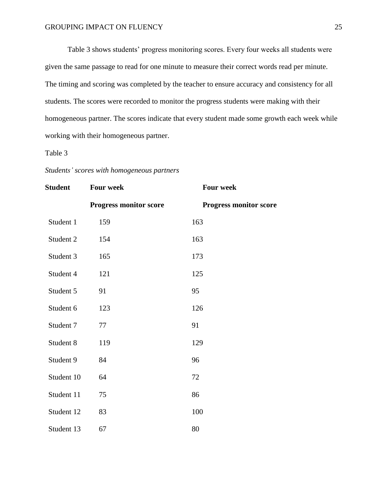Table 3 shows students' progress monitoring scores. Every four weeks all students were given the same passage to read for one minute to measure their correct words read per minute. The timing and scoring was completed by the teacher to ensure accuracy and consistency for all students. The scores were recorded to monitor the progress students were making with their homogeneous partner. The scores indicate that every student made some growth each week while working with their homogeneous partner.

Table 3

| <b>Student</b> | <b>Four week</b>              | <b>Four week</b>              |
|----------------|-------------------------------|-------------------------------|
|                | <b>Progress monitor score</b> | <b>Progress monitor score</b> |
| Student 1      | 159                           | 163                           |
| Student 2      | 154                           | 163                           |
| Student 3      | 165                           | 173                           |
| Student 4      | 121                           | 125                           |
| Student 5      | 91                            | 95                            |
| Student 6      | 123                           | 126                           |
| Student 7      | 77                            | 91                            |
| Student 8      | 119                           | 129                           |
| Student 9      | 84                            | 96                            |
| Student 10     | 64                            | 72                            |
| Student 11     | 75                            | 86                            |
| Student 12     | 83                            | 100                           |
| Student 13     | 67                            | 80                            |

*Students' scores with homogeneous partners*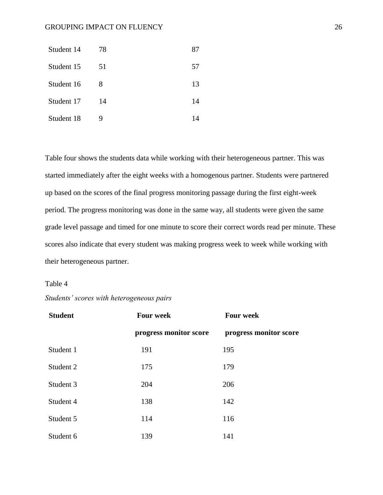| Student 14 | 78 | 87 |
|------------|----|----|
| Student 15 | 51 | 57 |
| Student 16 | 8  | 13 |
| Student 17 | 14 | 14 |
| Student 18 | 9  | 14 |

Table four shows the students data while working with their heterogeneous partner. This was started immediately after the eight weeks with a homogenous partner. Students were partnered up based on the scores of the final progress monitoring passage during the first eight-week period. The progress monitoring was done in the same way, all students were given the same grade level passage and timed for one minute to score their correct words read per minute. These scores also indicate that every student was making progress week to week while working with their heterogeneous partner.

#### Table 4

#### *Students' scores with heterogeneous pairs*

| <b>Student</b> | <b>Four week</b>       | <b>Four week</b>       |
|----------------|------------------------|------------------------|
|                | progress monitor score | progress monitor score |
| Student 1      | 191                    | 195                    |
| Student 2      | 175                    | 179                    |
| Student 3      | 204                    | 206                    |
| Student 4      | 138                    | 142                    |
| Student 5      | 114                    | 116                    |
| Student 6      | 139                    | 141                    |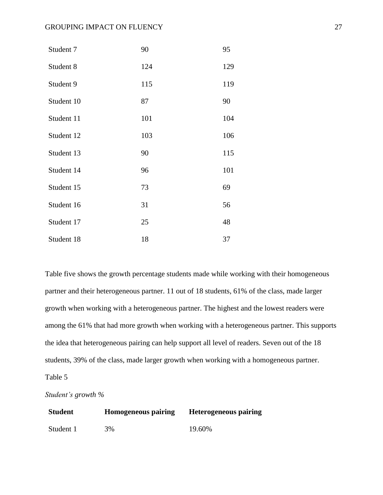| Student 7  | 90  | 95  |
|------------|-----|-----|
| Student 8  | 124 | 129 |
| Student 9  | 115 | 119 |
| Student 10 | 87  | 90  |
| Student 11 | 101 | 104 |
| Student 12 | 103 | 106 |
| Student 13 | 90  | 115 |
| Student 14 | 96  | 101 |
| Student 15 | 73  | 69  |
| Student 16 | 31  | 56  |
| Student 17 | 25  | 48  |
| Student 18 | 18  | 37  |

Table five shows the growth percentage students made while working with their homogeneous partner and their heterogeneous partner. 11 out of 18 students, 61% of the class, made larger growth when working with a heterogeneous partner. The highest and the lowest readers were among the 61% that had more growth when working with a heterogeneous partner. This supports the idea that heterogeneous pairing can help support all level of readers. Seven out of the 18 students, 39% of the class, made larger growth when working with a homogeneous partner. Table 5

*Student's growth %* 

| <b>Student</b> | <b>Homogeneous pairing</b> | <b>Heterogeneous pairing</b> |
|----------------|----------------------------|------------------------------|
| Student 1      | 3%                         | 19.60%                       |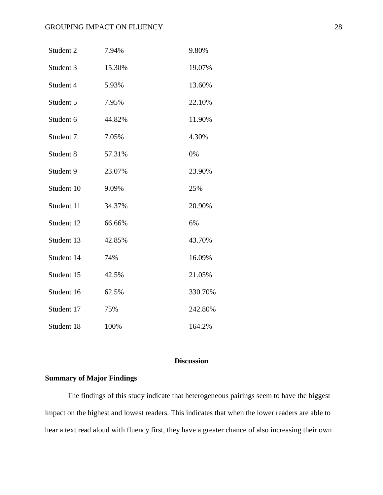| Student 2  | 7.94%  | 9.80%   |
|------------|--------|---------|
| Student 3  | 15.30% | 19.07%  |
| Student 4  | 5.93%  | 13.60%  |
| Student 5  | 7.95%  | 22.10%  |
| Student 6  | 44.82% | 11.90%  |
| Student 7  | 7.05%  | 4.30%   |
| Student 8  | 57.31% | 0%      |
| Student 9  | 23.07% | 23.90%  |
| Student 10 | 9.09%  | 25%     |
| Student 11 | 34.37% | 20.90%  |
| Student 12 | 66.66% | 6%      |
| Student 13 | 42.85% | 43.70%  |
| Student 14 | 74%    | 16.09%  |
| Student 15 | 42.5%  | 21.05%  |
| Student 16 | 62.5%  | 330.70% |
| Student 17 | 75%    | 242.80% |
| Student 18 | 100%   | 164.2%  |

#### **Discussion**

#### <span id="page-28-0"></span>**Summary of Major Findings**

The findings of this study indicate that heterogeneous pairings seem to have the biggest impact on the highest and lowest readers. This indicates that when the lower readers are able to hear a text read aloud with fluency first, they have a greater chance of also increasing their own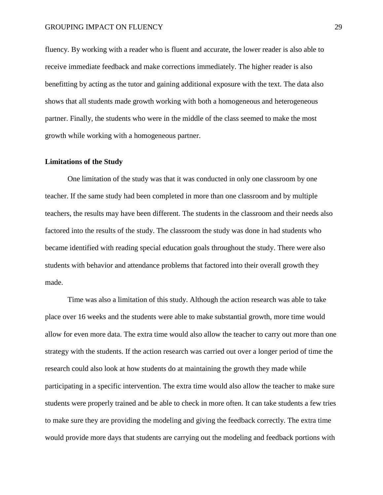fluency. By working with a reader who is fluent and accurate, the lower reader is also able to receive immediate feedback and make corrections immediately. The higher reader is also benefitting by acting as the tutor and gaining additional exposure with the text. The data also shows that all students made growth working with both a homogeneous and heterogeneous partner. Finally, the students who were in the middle of the class seemed to make the most growth while working with a homogeneous partner.

#### **Limitations of the Study**

One limitation of the study was that it was conducted in only one classroom by one teacher. If the same study had been completed in more than one classroom and by multiple teachers, the results may have been different. The students in the classroom and their needs also factored into the results of the study. The classroom the study was done in had students who became identified with reading special education goals throughout the study. There were also students with behavior and attendance problems that factored into their overall growth they made.

Time was also a limitation of this study. Although the action research was able to take place over 16 weeks and the students were able to make substantial growth, more time would allow for even more data. The extra time would also allow the teacher to carry out more than one strategy with the students. If the action research was carried out over a longer period of time the research could also look at how students do at maintaining the growth they made while participating in a specific intervention. The extra time would also allow the teacher to make sure students were properly trained and be able to check in more often. It can take students a few tries to make sure they are providing the modeling and giving the feedback correctly. The extra time would provide more days that students are carrying out the modeling and feedback portions with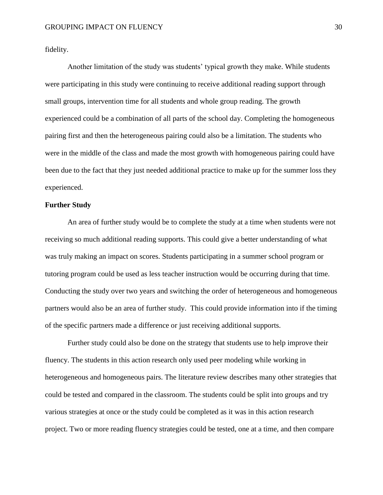fidelity.

Another limitation of the study was students' typical growth they make. While students were participating in this study were continuing to receive additional reading support through small groups, intervention time for all students and whole group reading. The growth experienced could be a combination of all parts of the school day. Completing the homogeneous pairing first and then the heterogeneous pairing could also be a limitation. The students who were in the middle of the class and made the most growth with homogeneous pairing could have been due to the fact that they just needed additional practice to make up for the summer loss they experienced.

#### **Further Study**

An area of further study would be to complete the study at a time when students were not receiving so much additional reading supports. This could give a better understanding of what was truly making an impact on scores. Students participating in a summer school program or tutoring program could be used as less teacher instruction would be occurring during that time. Conducting the study over two years and switching the order of heterogeneous and homogeneous partners would also be an area of further study. This could provide information into if the timing of the specific partners made a difference or just receiving additional supports.

Further study could also be done on the strategy that students use to help improve their fluency. The students in this action research only used peer modeling while working in heterogeneous and homogeneous pairs. The literature review describes many other strategies that could be tested and compared in the classroom. The students could be split into groups and try various strategies at once or the study could be completed as it was in this action research project. Two or more reading fluency strategies could be tested, one at a time, and then compare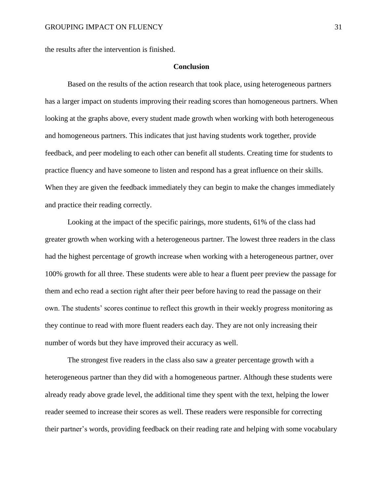the results after the intervention is finished.

#### **Conclusion**

Based on the results of the action research that took place, using heterogeneous partners has a larger impact on students improving their reading scores than homogeneous partners. When looking at the graphs above, every student made growth when working with both heterogeneous and homogeneous partners. This indicates that just having students work together, provide feedback, and peer modeling to each other can benefit all students. Creating time for students to practice fluency and have someone to listen and respond has a great influence on their skills. When they are given the feedback immediately they can begin to make the changes immediately and practice their reading correctly.

Looking at the impact of the specific pairings, more students, 61% of the class had greater growth when working with a heterogeneous partner. The lowest three readers in the class had the highest percentage of growth increase when working with a heterogeneous partner, over 100% growth for all three. These students were able to hear a fluent peer preview the passage for them and echo read a section right after their peer before having to read the passage on their own. The students' scores continue to reflect this growth in their weekly progress monitoring as they continue to read with more fluent readers each day. They are not only increasing their number of words but they have improved their accuracy as well.

The strongest five readers in the class also saw a greater percentage growth with a heterogeneous partner than they did with a homogeneous partner. Although these students were already ready above grade level, the additional time they spent with the text, helping the lower reader seemed to increase their scores as well. These readers were responsible for correcting their partner's words, providing feedback on their reading rate and helping with some vocabulary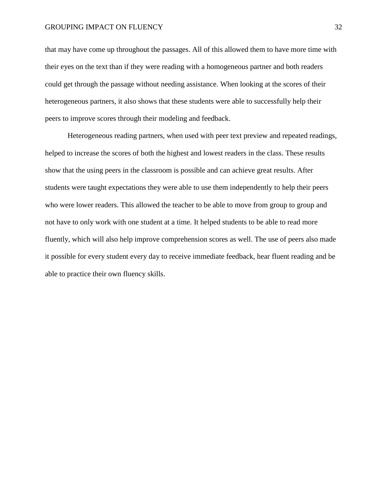that may have come up throughout the passages. All of this allowed them to have more time with their eyes on the text than if they were reading with a homogeneous partner and both readers could get through the passage without needing assistance. When looking at the scores of their heterogeneous partners, it also shows that these students were able to successfully help their peers to improve scores through their modeling and feedback.

Heterogeneous reading partners, when used with peer text preview and repeated readings, helped to increase the scores of both the highest and lowest readers in the class. These results show that the using peers in the classroom is possible and can achieve great results. After students were taught expectations they were able to use them independently to help their peers who were lower readers. This allowed the teacher to be able to move from group to group and not have to only work with one student at a time. It helped students to be able to read more fluently, which will also help improve comprehension scores as well. The use of peers also made it possible for every student every day to receive immediate feedback, hear fluent reading and be able to practice their own fluency skills.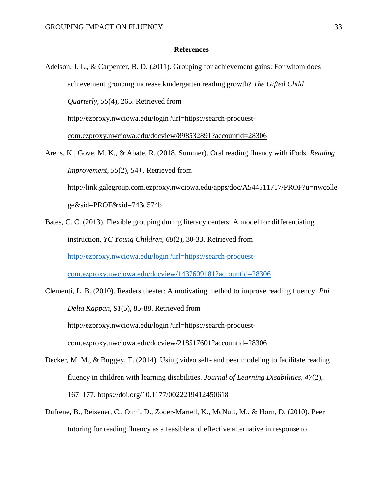#### **References**

- <span id="page-33-0"></span>Adelson, J. L., & Carpenter, B. D. (2011). Grouping for achievement gains: For whom does achievement grouping increase kindergarten reading growth? *The Gifted Child Quarterly, 55*(4), 265. Retrieved from [http://ezproxy.nwciowa.edu/login?url=https://search-proquest](http://ezproxy.nwciowa.edu/login?url=https://search-proquest-com.ezproxy.nwciowa.edu/docview/898532891?accountid=28306)[com.ezproxy.nwciowa.edu/docview/898532891?accountid=28306](http://ezproxy.nwciowa.edu/login?url=https://search-proquest-com.ezproxy.nwciowa.edu/docview/898532891?accountid=28306)
- Arens, K., Gove, M. K., & Abate, R. (2018, Summer). Oral reading fluency with iPods. *Reading Improvement*, *55*(2), 54+. Retrieved from http://link.galegroup.com.ezproxy.nwciowa.edu/apps/doc/A544511717/PROF?u=nwcolle ge&sid=PROF&xid=743d574b
- Bates, C. C. (2013). Flexible grouping during literacy centers: A model for differentiating instruction. *YC Young Children, 68*(2), 30-33. Retrieved from [http://ezproxy.nwciowa.edu/login?url=https://search-proquest](http://ezproxy.nwciowa.edu/login?url=https://search-proquest-com.ezproxy.nwciowa.edu/docview/1437609181?accountid=28306)[com.ezproxy.nwciowa.edu/docview/1437609181?accountid=28306](http://ezproxy.nwciowa.edu/login?url=https://search-proquest-com.ezproxy.nwciowa.edu/docview/1437609181?accountid=28306)
- Clementi, L. B. (2010). Readers theater: A motivating method to improve reading fluency. *Phi Delta Kappan, 91*(5), 85-88. Retrieved from http://ezproxy.nwciowa.edu/login?url=https://search-proquestcom.ezproxy.nwciowa.edu/docview/218517601?accountid=28306
- Decker, M. M., & Buggey, T. (2014). Using video self- and peer modeling to facilitate reading fluency in children with learning disabilities. *Journal of Learning Disabilities*, *47*(2), 167–177. https://doi.org[/10.1177/0022219412450618](https://doi-org.ezproxy.nwciowa.edu/10.1177/0022219412450618)
- Dufrene, B., Reisener, C., Olmi, D., Zoder-Martell, K., McNutt, M., & Horn, D. (2010). Peer tutoring for reading fluency as a feasible and effective alternative in response to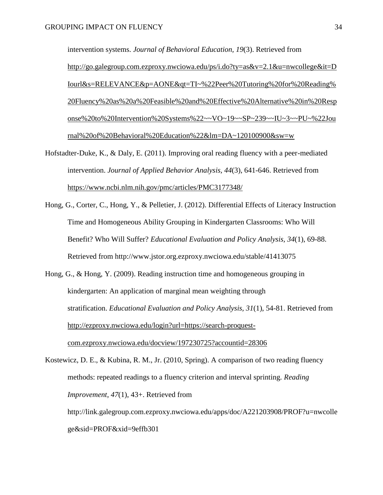intervention systems. *Journal of Behavioral Education, 19*(3). Retrieved from [http://go.galegroup.com.ezproxy.nwciowa.edu/ps/i.do?ty=as&v=2.1&u=nwcollege&it=D](http://go.galegroup.com.ezproxy.nwciowa.edu/ps/i.do?ty=as&v=2.1&u=nwcollege&it=DIourl&s=RELEVANCE&p=AONE&qt=TI~%22Peer%20Tutoring%20for%20Reading%20Fluency%20as%20a%20Feasible%20and%20Effective%20Alternative%20in%20Response%20to%20Intervention%20Systems%22~~VO~19~~SP~239~~IU~3~~PU~%22Journal%20of%20Behavioral%20Education%22&lm=DA~120100900&sw=w) [Iourl&s=RELEVANCE&p=AONE&qt=TI~%22Peer%20Tutoring%20for%20Reading%](http://go.galegroup.com.ezproxy.nwciowa.edu/ps/i.do?ty=as&v=2.1&u=nwcollege&it=DIourl&s=RELEVANCE&p=AONE&qt=TI~%22Peer%20Tutoring%20for%20Reading%20Fluency%20as%20a%20Feasible%20and%20Effective%20Alternative%20in%20Response%20to%20Intervention%20Systems%22~~VO~19~~SP~239~~IU~3~~PU~%22Journal%20of%20Behavioral%20Education%22&lm=DA~120100900&sw=w) [20Fluency%20as%20a%20Feasible%20and%20Effective%20Alternative%20in%20Resp](http://go.galegroup.com.ezproxy.nwciowa.edu/ps/i.do?ty=as&v=2.1&u=nwcollege&it=DIourl&s=RELEVANCE&p=AONE&qt=TI~%22Peer%20Tutoring%20for%20Reading%20Fluency%20as%20a%20Feasible%20and%20Effective%20Alternative%20in%20Response%20to%20Intervention%20Systems%22~~VO~19~~SP~239~~IU~3~~PU~%22Journal%20of%20Behavioral%20Education%22&lm=DA~120100900&sw=w) [onse%20to%20Intervention%20Systems%22~~VO~19~~SP~239~~IU~3~~PU~%22Jou](http://go.galegroup.com.ezproxy.nwciowa.edu/ps/i.do?ty=as&v=2.1&u=nwcollege&it=DIourl&s=RELEVANCE&p=AONE&qt=TI~%22Peer%20Tutoring%20for%20Reading%20Fluency%20as%20a%20Feasible%20and%20Effective%20Alternative%20in%20Response%20to%20Intervention%20Systems%22~~VO~19~~SP~239~~IU~3~~PU~%22Journal%20of%20Behavioral%20Education%22&lm=DA~120100900&sw=w) [rnal%20of%20Behavioral%20Education%22&lm=DA~120100900&sw=w](http://go.galegroup.com.ezproxy.nwciowa.edu/ps/i.do?ty=as&v=2.1&u=nwcollege&it=DIourl&s=RELEVANCE&p=AONE&qt=TI~%22Peer%20Tutoring%20for%20Reading%20Fluency%20as%20a%20Feasible%20and%20Effective%20Alternative%20in%20Response%20to%20Intervention%20Systems%22~~VO~19~~SP~239~~IU~3~~PU~%22Journal%20of%20Behavioral%20Education%22&lm=DA~120100900&sw=w)

- Hofstadter-Duke, K., & Daly, E. (2011). Improving oral reading fluency with a peer-mediated intervention. *Journal of Applied Behavior Analysis, 44*(3), 641-646. Retrieved from <https://www.ncbi.nlm.nih.gov/pmc/articles/PMC3177348/>
- Hong, G., Corter, C., Hong, Y., & Pelletier, J. (2012). Differential Effects of Literacy Instruction Time and Homogeneous Ability Grouping in Kindergarten Classrooms: Who Will Benefit? Who Will Suffer? *Educational Evaluation and Policy Analysis, 34*(1), 69-88. Retrieved from http://www.jstor.org.ezproxy.nwciowa.edu/stable/41413075
- Hong, G., & Hong, Y. (2009). Reading instruction time and homogeneous grouping in kindergarten: An application of marginal mean weighting through stratification. *Educational Evaluation and Policy Analysis, 31*(1), 54-81. Retrieved from [http://ezproxy.nwciowa.edu/login?url=https://search-proquest](http://ezproxy.nwciowa.edu/login?url=https://search-proquest-com.ezproxy.nwciowa.edu/docview/197230725?accountid=28306)[com.ezproxy.nwciowa.edu/docview/197230725?accountid=28306](http://ezproxy.nwciowa.edu/login?url=https://search-proquest-com.ezproxy.nwciowa.edu/docview/197230725?accountid=28306)
- Kostewicz, D. E., & Kubina, R. M., Jr. (2010, Spring). A comparison of two reading fluency methods: repeated readings to a fluency criterion and interval sprinting. *Reading Improvement*, *47*(1), 43+. Retrieved from

http://link.galegroup.com.ezproxy.nwciowa.edu/apps/doc/A221203908/PROF?u=nwcolle ge&sid=PROF&xid=9effb301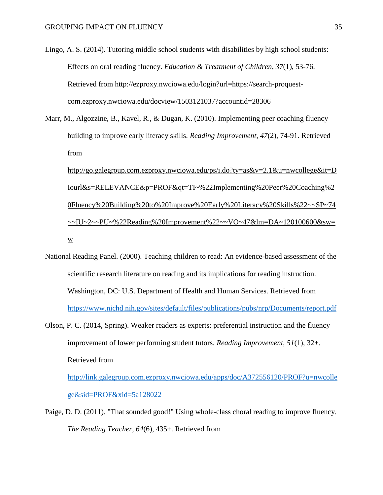Lingo, A. S. (2014). Tutoring middle school students with disabilities by high school students: Effects on oral reading fluency. *Education & Treatment of Children, 37*(1), 53-76. Retrieved from http://ezproxy.nwciowa.edu/login?url=https://search-proquestcom.ezproxy.nwciowa.edu/docview/1503121037?accountid=28306

Marr, M., Algozzine, B., Kavel, R., & Dugan, K. (2010). Implementing peer coaching fluency building to improve early literacy skills. *Reading Improvement, 47*(2), 74-91. Retrieved from

[http://go.galegroup.com.ezproxy.nwciowa.edu/ps/i.do?ty=as&v=2.1&u=nwcollege&it=D](http://go.galegroup.com.ezproxy.nwciowa.edu/ps/i.do?ty=as&v=2.1&u=nwcollege&it=DIourl&s=RELEVANCE&p=PROF&qt=TI~%22Implementing%20Peer%20Coaching%20Fluency%20Building%20to%20Improve%20Early%20Literacy%20Skills%22~~SP~74~~IU~2~~PU~%22Reading%20Improvement%22~~VO~47&lm=DA~120100600&sw=w) [Iourl&s=RELEVANCE&p=PROF&qt=TI~%22Implementing%20Peer%20Coaching%2](http://go.galegroup.com.ezproxy.nwciowa.edu/ps/i.do?ty=as&v=2.1&u=nwcollege&it=DIourl&s=RELEVANCE&p=PROF&qt=TI~%22Implementing%20Peer%20Coaching%20Fluency%20Building%20to%20Improve%20Early%20Literacy%20Skills%22~~SP~74~~IU~2~~PU~%22Reading%20Improvement%22~~VO~47&lm=DA~120100600&sw=w) [0Fluency%20Building%20to%20Improve%20Early%20Literacy%20Skills%22~~SP~74](http://go.galegroup.com.ezproxy.nwciowa.edu/ps/i.do?ty=as&v=2.1&u=nwcollege&it=DIourl&s=RELEVANCE&p=PROF&qt=TI~%22Implementing%20Peer%20Coaching%20Fluency%20Building%20to%20Improve%20Early%20Literacy%20Skills%22~~SP~74~~IU~2~~PU~%22Reading%20Improvement%22~~VO~47&lm=DA~120100600&sw=w)  $~\sim$ IU~2~~PU~%22Reading%20Improvement%22~~VO~47&lm=DA~120100600&sw= [w](http://go.galegroup.com.ezproxy.nwciowa.edu/ps/i.do?ty=as&v=2.1&u=nwcollege&it=DIourl&s=RELEVANCE&p=PROF&qt=TI~%22Implementing%20Peer%20Coaching%20Fluency%20Building%20to%20Improve%20Early%20Literacy%20Skills%22~~SP~74~~IU~2~~PU~%22Reading%20Improvement%22~~VO~47&lm=DA~120100600&sw=w)

- National Reading Panel. (2000). Teaching children to read: An evidence-based assessment of the scientific research literature on reading and its implications for reading instruction. Washington, DC: U.S. Department of Health and Human Services. Retrieved from <https://www.nichd.nih.gov/sites/default/files/publications/pubs/nrp/Documents/report.pdf>
- Olson, P. C. (2014, Spring). Weaker readers as experts: preferential instruction and the fluency improvement of lower performing student tutors. *Reading Improvement*, *51*(1), 32+. Retrieved from

[http://link.galegroup.com.ezproxy.nwciowa.edu/apps/doc/A372556120/PROF?u=nwcolle](http://link.galegroup.com.ezproxy.nwciowa.edu/apps/doc/A372556120/PROF?u=nwcollege&sid=PROF&xid=5a128022) [ge&sid=PROF&xid=5a128022](http://link.galegroup.com.ezproxy.nwciowa.edu/apps/doc/A372556120/PROF?u=nwcollege&sid=PROF&xid=5a128022)

Paige, D. D. (2011). "That sounded good!" Using whole-class choral reading to improve fluency. *The Reading Teacher*, *64*(6), 435+. Retrieved from